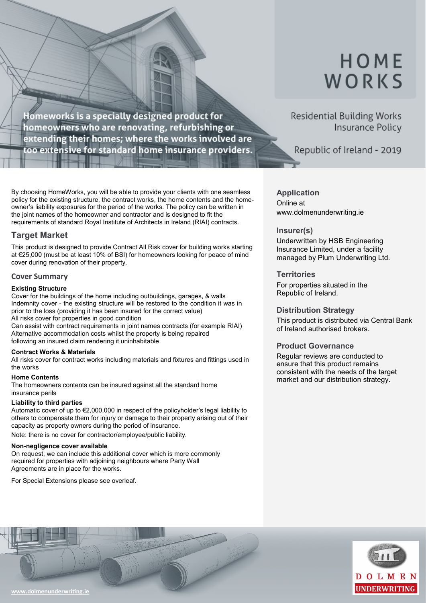# HOME WORKS

Homeworks is a specially designed product for homeowners who are renovating, refurbishing or extending their homes; where the works involved are too extensive for standard home insurance providers.

By choosing HomeWorks, you will be able to provide your clients with one seamless policy for the existing structure, the contract works, the home contents and the homeowner's liability exposures for the period of the works. The policy can be written in the joint names of the homeowner and contractor and is designed to fit the requirements of standard Royal Institute of Architects in Ireland (RIAI) contracts.

### **Target Market**

This product is designed to provide Contract All Risk cover for building works starting at €25,000 (must be at least 10% of BSI) for homeowners looking for peace of mind cover during renovation of their property.

#### **Cover Summary**

#### **Existing Structure**

Cover for the buildings of the home including outbuildings, garages, & walls Indemnity cover - the existing structure will be restored to the condition it was in prior to the loss (providing it has been insured for the correct value) All risks cover for properties in good condition

Can assist with contract requirements in joint names contracts (for example RIAI) Alternative accommodation costs whilst the property is being repaired following an insured claim rendering it uninhabitable

#### **Contract Works & Materials**

All risks cover for contract works including materials and fixtures and fittings used in the works

#### **Home Contents**

The homeowners contents can be insured against all the standard home insurance perils

#### **Liability to third parties**

Automatic cover of up to €2,000,000 in respect of the policyholder's legal liability to others to compensate them for injury or damage to their property arising out of their capacity as property owners during the period of insurance.

Note: there is no cover for contractor/employee/public liability.

#### **Non-negligence cover available**

On request, we can include this additional cover which is more commonly required for properties with adjoining neighbours where Party Wall Agreements are in place for the works.

For Special Extensions please see overleaf.

# **Residential Building Works Insurance Policy**

Republic of Ireland - 2019

### **Application**

Online at www.dolmenunderwriting.ie

### **Insurer(s)**

Underwritten by HSB Engineering Insurance Limited, under a facility managed by Plum Underwriting Ltd.

### **Territories**

For properties situated in the Republic of Ireland.

#### **Distribution Strategy**

This product is distributed via Central Bank of Ireland authorised brokers.

#### **Product Governance**

Regular reviews are conducted to ensure that this product remains consistent with the needs of the target market and our distribution strategy.